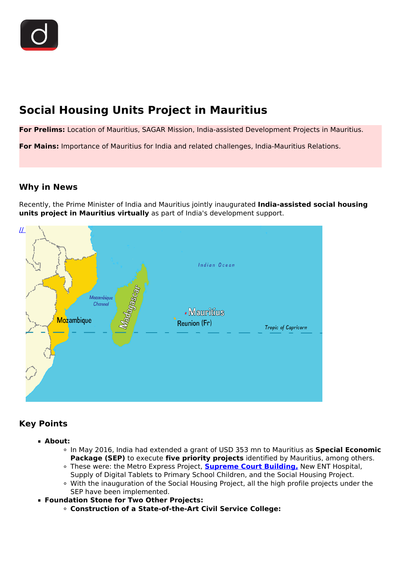# **Social Housing Units Project in Mauritius**

**For Prelims:** Location of Mauritius, SAGAR Mission, India-assisted Development Projects in Mauritius.

**For Mains:** Importance of Mauritius for India and related challenges, India-Mauritius Relations.

## **Why in News**

Recently, the Prime Minister of India and Mauritius jointly inaugurated **India-assisted social housing units project in Mauritius virtually** as part of India's development support.



# **Key Points**

- **About:**
	- In May 2016, India had extended a grant of USD 353 mn to Mauritius as **Special Economic Package (SEP)** to execute **five priority projects** identified by Mauritius, among others.
	- These were: the Metro Express Project, **[Supreme Court Building,](/daily-updates/daily-news-analysis/new-supreme-court-building-of-mauritius#:~:text=The%20Prime%20Minister%20of%20India,city%20of%20Port%20Louis%2C%20Mauritius.)** New ENT Hospital, Supply of Digital Tablets to Primary School Children, and the Social Housing Project.
	- With the inauguration of the Social Housing Project, all the high profile projects under the SEP have been implemented.
- **Foundation Stone for Two Other Projects:**
	- **Construction of a State-of-the-Art Civil Service College:**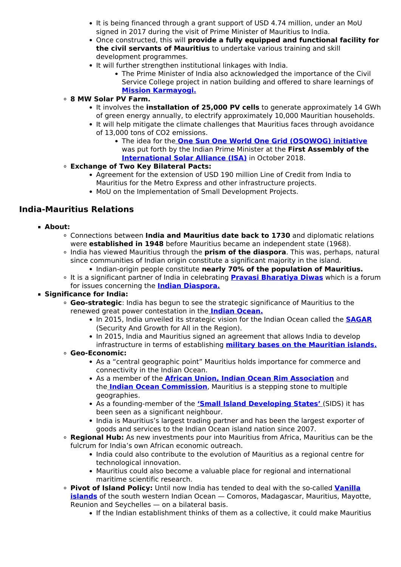- It is being financed through a grant support of USD 4.74 million, under an MoU signed in 2017 during the visit of Prime Minister of Mauritius to India.
- Once constructed, this will **provide a fully equipped and functional facility for the civil servants of Mauritius** to undertake various training and skill development programmes.
- It will further strengthen institutional linkages with India.
	- The Prime Minister of India also acknowledged the importance of the Civil Service College project in nation building and offered to share learnings of **[Mission Karmayogi.](/daily-updates/daily-news-editorials/mission-karmayogi-1)**

### **8 MW Solar PV Farm.**

- It involves the **installation of 25,000 PV cells** to generate approximately 14 GWh of green energy annually, to electrify approximately 10,000 Mauritian households.
- It will help mitigate the climate challenges that Mauritius faces through avoidance of 13,000 tons of CO2 emissions.
	- The idea for the **[One Sun](/daily-updates/daily-news-analysis/one-sun-one-world-one-grid-osowog) [One World One Grid \(OSOWOG\) initiative](/daily-updates/daily-news-analysis/one-sun-one-world-one-grid-osowog)** was put forth by the Indian Prime Minister at the **First Assembly of the [International Solar Alliance \(ISA\)](/daily-updates/daily-news-analysis/us-joins-international-solar-alliance)** in October 2018.
- **Exchange of Two Key Bilateral Pacts:**
	- Agreement for the extension of USD 190 million Line of Credit from India to Mauritius for the Metro Express and other infrastructure projects.
	- MoU on the Implementation of Small Development Projects.

## **India-Mauritius Relations**

- **About:**
	- Connections between **India and Mauritius date back to 1730** and diplomatic relations were **established in 1948** before Mauritius became an independent state (1968).
	- India has viewed Mauritius through the **prism of the diaspora**. This was, perhaps, natural since communities of Indian origin constitute a significant majority in the island.
		- **Indian-origin people constitute nearly 70% of the population of Mauritius.**
	- It is a significant partner of India in celebrating **[Pravasi Bharatiya Diwas](/daily-updates/daily-news-analysis/important-facts-for-prelims-23rd-january-2019)** which is a forum for issues concerning the **[Indian Diaspora.](/daily-updates/daily-news-editorials/india-s-diaspora)**

#### **Significance for India:**

- **Geo-strategic**: India has begun to see the strategic significance of Mauritius to the renewed great power contestation in the **[Indian Ocean.](/loksabha-rajyasabha-discussions/the-big-picture-indian-ocean-islands-diplomacy)**
	- In 2015, India unveiled its strategic vision for the Indian Ocean called the **[SAGAR](/daily-updates/daily-news-editorials/sagar-vision)** (Security And Growth for All in the Region).
	- In 2015, India and Mauritius signed an agreement that allows India to develop infrastructure in terms of establishing **[military bases on the Mauritian islands.](/daily-updates/daily-news-analysis/indian-base-in-mauritius-agalega-islands)**

#### **Geo-Economic:**

- As a "central geographic point" Mauritius holds importance for commerce and connectivity in the Indian Ocean.
- As a member of the **[African Union, Indian Ocean Rim Association](/daily-updates/daily-news-analysis/19th-iora-council-of-ministers-meeting)** and the **[Indian Ocean Commission](/daily-updates/daily-news-analysis/india-as-an-observer-at-ioc)**, Mauritius is a stepping stone to multiple geographies.
- As a founding-member of the **['Small Island Developing States'](/daily-updates/daily-news-analysis/climate-change-impacting-small-island-developing-states)** (SIDS) it has been seen as a significant neighbour.
- India is Mauritius's largest trading partner and has been the largest exporter of goods and services to the Indian Ocean island nation since 2007.
- **Regional Hub:** As new investments pour into Mauritius from Africa, Mauritius can be the fulcrum for India's own African economic outreach.
	- India could also contribute to the evolution of Mauritius as a regional centre for technological innovation.
	- Mauritius could also become a valuable place for regional and international maritime scientific research.
- **Pivot of Island Policy:** Until now India has tended to deal with the so-called **[Vanilla](/daily-updates/daily-news-analysis/operation-vanilla) [islands](/daily-updates/daily-news-analysis/operation-vanilla)** of the south western Indian Ocean — Comoros, Madagascar, Mauritius, Mayotte, Reunion and Seychelles — on a bilateral basis.
	- If the Indian establishment thinks of them as a collective, it could make Mauritius